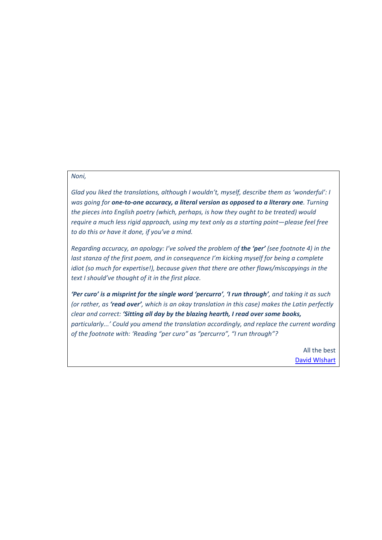## *Noni,*

*Glad you liked the translations, although I wouldn't, myself, describe them as 'wonderful': I was going for one-to-one accuracy, a literal version as opposed to a literary one. Turning the pieces into English poetry (which, perhaps, is how they ought to be treated) would require a much less rigid approach, using my text only as a starting point—please feel free to do this or have it done, if you've a mind.*

*Regarding accuracy, an apology: I've solved the problem of the 'per' (see footnote 4) in the last stanza of the first poem, and in consequence I'm kicking myself for being a complete idiot (so much for expertise!), because given that there are other flaws/miscopyings in the text I should've thought of it in the first place.*

*'Per curo' is a misprint for the single word 'percurro', 'I run through', and taking it as such (or rather, as 'read over', which is an okay translation in this case) makes the Latin perfectly clear and correct: 'Sitting all day by the blazing hearth, I read over some books, particularly...' Could you amend the translation accordingly, and replace the current wording of the footnote with: 'Reading "per curo" as "percurro", "I run through"?*

> All the best [David WIshart](http://en.wikipedia.org/wiki/David_Wishart)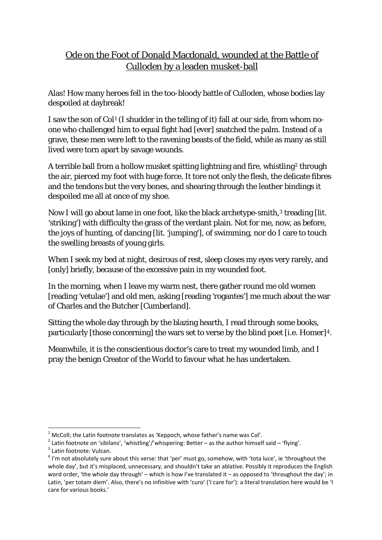## Ode on the Foot of Donald Macdonald, wounded at the Battle of Culloden by a leaden musket-ball

Alas! How many heroes fell in the too-bloody battle of Culloden, whose bodies lay despoiled at daybreak!

I saw the son of Col<sup>[1](#page-1-0)</sup> (I shudder in the telling of it) fall at our side, from whom noone who challenged him to equal fight had [ever] snatched the palm. Instead of a grave, these men were left to the ravening beasts of the field, while as many as still lived were torn apart by savage wounds.

A terrible ball from a hollow musket spitting lightning and fire, whistling[2](#page-1-1) through the air, pierced my foot with huge force. It tore not only the flesh, the delicate fibres and the tendons but the very bones, and shearing through the leather bindings it despoiled me all at once of my shoe.

Now I will go about lame in one foot, like the black archetype-smith,<sup>[3](#page-1-2)</sup> treading [lit. 'striking'] with difficulty the grass of the verdant plain. Not for me, now, as before, the joys of hunting, of dancing [lit. 'jumping'], of swimming, nor do I care to touch the swelling breasts of young girls.

When I seek my bed at night, desirous of rest, sleep closes my eyes very rarely, and [only] briefly, because of the excessive pain in my wounded foot.

In the morning, when I leave my warm nest, there gather round me old women [reading 'vetulae'] and old men, asking [reading 'rogantes'] me much about the war of Charles and the Butcher [Cumberland].

Sitting the whole day through by the blazing hearth, I read through some books, particularly [those concerning] the wars set to verse by the blind poet [i.e. Homer]<sup>4</sup>.

Meanwhile, it is the conscientious doctor's care to treat my wounded limb, and I pray the benign Creator of the World to favour what he has undertaken.

 $1$  McColl: the Latin footnote translates as 'Keppoch, whose father's name was Col'.

<span id="page-1-1"></span><span id="page-1-0"></span><sup>&</sup>lt;sup>2</sup> Latin footnote on 'sibilans', 'whistling'/'whispering: Better – as the author himself said – 'flying'.<br><sup>3</sup> Latin footnote: Vulcan.<br><sup>4</sup> I'm not absolutely sure about this verse: that 'per' must go, somehow, with 'tota

<span id="page-1-3"></span><span id="page-1-2"></span>whole day', but it's misplaced, unnecessary, and shouldn't take an ablative. Possibly it reproduces the English word order, 'the whole day through' – which is how I've translated it – as opposed to 'throughout the day'; in Latin, 'per totam diem'. Also, there's no infinitive with 'curo' ('I care for'): a literal translation here would be 'I care for various books.'